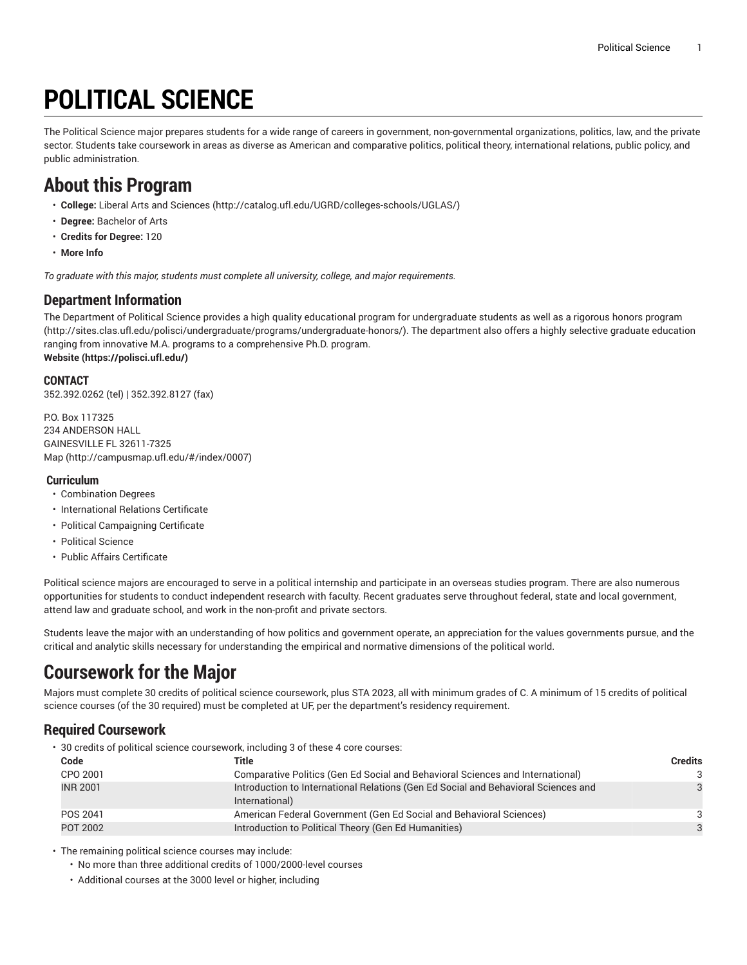# **POLITICAL SCIENCE**

The Political Science major prepares students for a wide range of careers in government, non-governmental organizations, politics, law, and the private sector. Students take coursework in areas as diverse as American and comparative politics, political theory, international relations, public policy, and public administration.

# **About this Program**

- **College:** Liberal Arts and [Sciences](http://catalog.ufl.edu/UGRD/colleges-schools/UGLAS/) ([http://catalog.ufl.edu/UGRD/colleges-schools/UGLAS/\)](http://catalog.ufl.edu/UGRD/colleges-schools/UGLAS/)
- **Degree:** Bachelor of Arts
- **Credits for Degree:** 120
- **More Info**

*To graduate with this major, students must complete all university, college, and major requirements.*

#### **Department Information**

The Department of Political Science provides a high quality educational program for undergraduate students as well as a rigorous honors [program](http://sites.clas.ufl.edu/polisci/undergraduate/programs/undergraduate-honors/) (<http://sites.clas.ufl.edu/polisci/undergraduate/programs/undergraduate-honors/>). The department also offers a highly selective graduate education ranging from innovative M.A. programs to a comprehensive Ph.D. program. **[Website](https://polisci.ufl.edu/) (<https://polisci.ufl.edu/>)**

#### **CONTACT**

352.392.0262 (tel) | 352.392.8127 (fax)

P.O. Box 117325 234 ANDERSON HALL GAINESVILLE FL 32611-7325 [Map](http://campusmap.ufl.edu/#/index/0007) ([http://campusmap.ufl.edu/#/index/0007\)](http://campusmap.ufl.edu/#/index/0007)

#### **Curriculum**

- Combination Degrees
- International Relations Certificate
- Political Campaigning Certificate
- Political Science
- Public Affairs Certificate

Political science majors are encouraged to serve in a political internship and participate in an overseas studies program. There are also numerous opportunities for students to conduct independent research with faculty. Recent graduates serve throughout federal, state and local government, attend law and graduate school, and work in the non-profit and private sectors.

Students leave the major with an understanding of how politics and government operate, an appreciation for the values governments pursue, and the critical and analytic skills necessary for understanding the empirical and normative dimensions of the political world.

# **Coursework for the Major**

Majors must complete 30 credits of political science coursework, plus STA 2023, all with minimum grades of C. A minimum of 15 credits of political science courses (of the 30 required) must be completed at UF, per the department's residency requirement.

### **Required Coursework**

• 30 credits of political science coursework, including 3 of these 4 core courses:

| Code            | Title                                                                                                | <b>Credits</b> |
|-----------------|------------------------------------------------------------------------------------------------------|----------------|
| CPO 2001        | Comparative Politics (Gen Ed Social and Behavioral Sciences and International)                       | 3              |
| <b>INR 2001</b> | Introduction to International Relations (Gen Ed Social and Behavioral Sciences and<br>International) | 3              |
| POS 2041        | American Federal Government (Gen Ed Social and Behavioral Sciences)                                  | ঽ              |
| POT 2002        | Introduction to Political Theory (Gen Ed Humanities)                                                 | 3              |

• The remaining political science courses may include:

- No more than three additional credits of 1000/2000-level courses
- Additional courses at the 3000 level or higher, including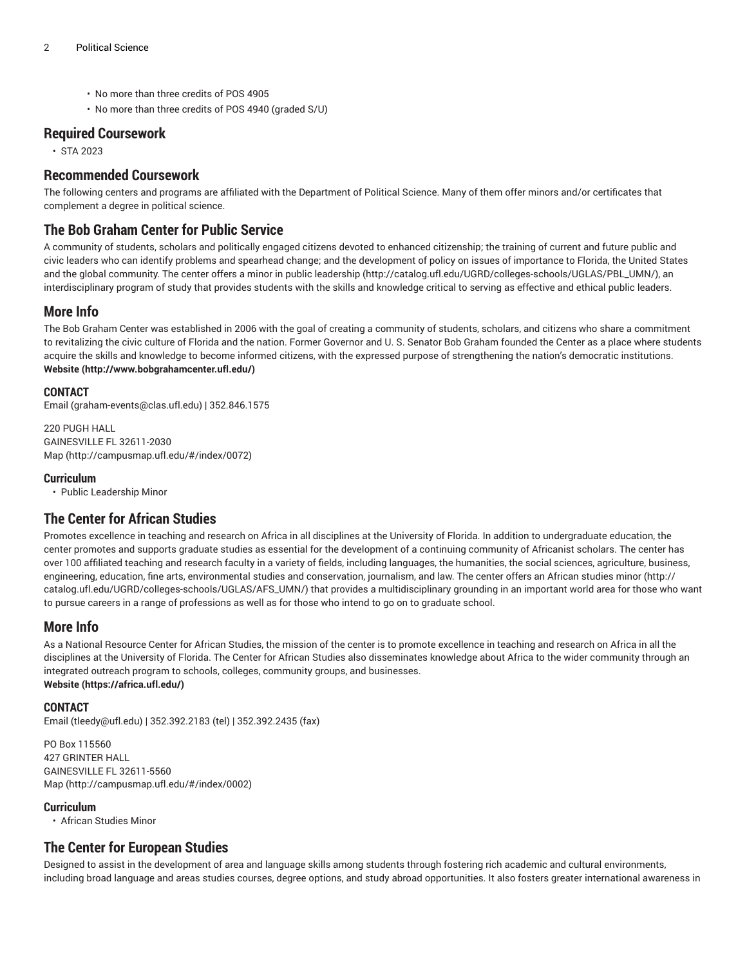- No more than three credits of POS 4905
- No more than three credits of POS 4940 (graded S/U)

#### **Required Coursework**

• STA 2023

### **Recommended Coursework**

The following centers and programs are affiliated with the Department of Political Science. Many of them offer minors and/or certificates that complement a degree in political science.

### **The Bob Graham Center for Public Service**

A community of students, scholars and politically engaged citizens devoted to enhanced citizenship; the training of current and future public and civic leaders who can identify problems and spearhead change; and the development of policy on issues of importance to Florida, the United States and the global community. The center offers a [minor in public leadership](http://catalog.ufl.edu/UGRD/colleges-schools/UGLAS/PBL_UMN/) ([http://catalog.ufl.edu/UGRD/colleges-schools/UGLAS/PBL\\_UMN/](http://catalog.ufl.edu/UGRD/colleges-schools/UGLAS/PBL_UMN/)), an interdisciplinary program of study that provides students with the skills and knowledge critical to serving as effective and ethical public leaders.

### **More Info**

The Bob Graham Center was established in 2006 with the goal of creating a community of students, scholars, and citizens who share a commitment to revitalizing the civic culture of Florida and the nation. Former Governor and U. S. Senator Bob Graham founded the Center as a place where students acquire the skills and knowledge to become informed citizens, with the expressed purpose of strengthening the nation's democratic institutions. **[Website](http://www.bobgrahamcenter.ufl.edu/) (<http://www.bobgrahamcenter.ufl.edu/>)**

#### **CONTACT**

[Email](mailto:graham-events@clas.ufl.edu) (<graham-events@clas.ufl.edu>) | 352.846.1575

220 PUGH HALL GAINESVILLE FL 32611-2030 [Map](http://campusmap.ufl.edu/#/index/0072) ([http://campusmap.ufl.edu/#/index/0072\)](http://campusmap.ufl.edu/#/index/0072)

#### **Curriculum**

• Public Leadership Minor

#### **The Center for African Studies**

Promotes excellence in teaching and research on Africa in all disciplines at the University of Florida. In addition to undergraduate education, the center promotes and supports graduate studies as essential for the development of a continuing community of Africanist scholars. The center has over 100 affiliated teaching and research faculty in a variety of fields, including languages, the humanities, the social sciences, agriculture, business, engineering, education, fine arts, environmental studies and conservation, journalism, and law. The center offers an [African studies minor](http://catalog.ufl.edu/UGRD/colleges-schools/UGLAS/AFS_UMN/) ([http://](http://catalog.ufl.edu/UGRD/colleges-schools/UGLAS/AFS_UMN/) [catalog.ufl.edu/UGRD/colleges-schools/UGLAS/AFS\\_UMN/](http://catalog.ufl.edu/UGRD/colleges-schools/UGLAS/AFS_UMN/)) that provides a multidisciplinary grounding in an important world area for those who want to pursue careers in a range of professions as well as for those who intend to go on to graduate school.

#### **More Info**

As a National Resource Center for African Studies, the mission of the center is to promote excellence in teaching and research on Africa in all the disciplines at the University of Florida. The Center for African Studies also disseminates knowledge about Africa to the wider community through an integrated outreach program to schools, colleges, community groups, and businesses. **[Website](https://africa.ufl.edu/) (<https://africa.ufl.edu/>)**

#### **CONTACT**

[Email](mailto:tleedy@ufl.edu) (<tleedy@ufl.edu>) | 352.392.2183 (tel) | 352.392.2435 (fax)

PO Box 115560 427 GRINTER HALL GAINESVILLE FL 32611-5560 [Map](http://campusmap.ufl.edu/#/index/0002) ([http://campusmap.ufl.edu/#/index/0002\)](http://campusmap.ufl.edu/#/index/0002)

#### **Curriculum**

• African Studies Minor

### **The Center for European Studies**

Designed to assist in the development of area and language skills among students through fostering rich academic and cultural environments, including broad language and areas studies courses, degree options, and study abroad opportunities. It also fosters greater international awareness in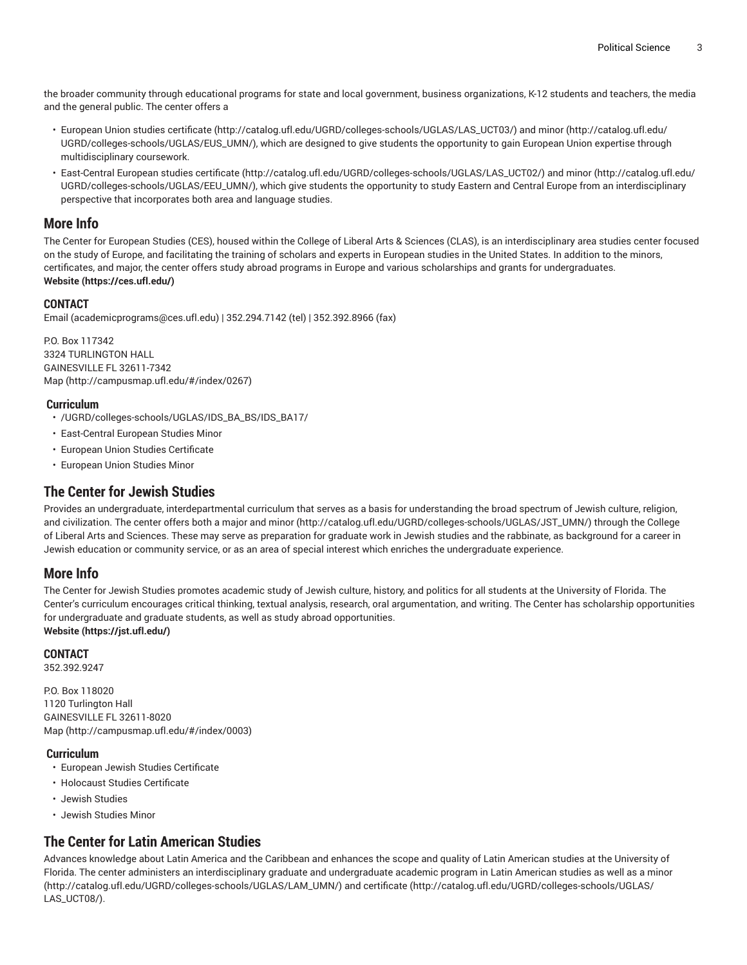the broader community through educational programs for state and local government, business organizations, K-12 students and teachers, the media and the general public. The center offers a

- European Union studies [certificate \(http://catalog.ufl.edu/UGRD/colleges-schools/UGLAS/LAS\\_UCT03/](http://catalog.ufl.edu/UGRD/colleges-schools/UGLAS/LAS_UCT03/)) and [minor](http://catalog.ufl.edu/UGRD/colleges-schools/UGLAS/EUS_UMN/) ([http://catalog.ufl.edu/](http://catalog.ufl.edu/UGRD/colleges-schools/UGLAS/EUS_UMN/) [UGRD/colleges-schools/UGLAS/EUS\\_UMN/](http://catalog.ufl.edu/UGRD/colleges-schools/UGLAS/EUS_UMN/)), which are designed to give students the opportunity to gain European Union expertise through multidisciplinary coursework.
- East-Central European studies [certificate](http://catalog.ufl.edu/UGRD/colleges-schools/UGLAS/LAS_UCT02/) [\(http://catalog.ufl.edu/UGRD/colleges-schools/UGLAS/LAS\\_UCT02/](http://catalog.ufl.edu/UGRD/colleges-schools/UGLAS/LAS_UCT02/)) and [minor](http://catalog.ufl.edu/UGRD/colleges-schools/UGLAS/EEU_UMN/) ([http://catalog.ufl.edu/](http://catalog.ufl.edu/UGRD/colleges-schools/UGLAS/EEU_UMN/) [UGRD/colleges-schools/UGLAS/EEU\\_UMN/](http://catalog.ufl.edu/UGRD/colleges-schools/UGLAS/EEU_UMN/)), which give students the opportunity to study Eastern and Central Europe from an interdisciplinary perspective that incorporates both area and language studies.

#### **More Info**

The Center for European Studies (CES), housed within the College of Liberal Arts & Sciences (CLAS), is an interdisciplinary area studies center focused on the study of Europe, and facilitating the training of scholars and experts in European studies in the United States. In addition to the minors, certificates, and major, the center offers study abroad programs in Europe and various scholarships and grants for undergraduates. **[Website](https://ces.ufl.edu/) (<https://ces.ufl.edu/>)**

#### **CONTACT**

[Email](mailto:academicprograms@ces.ufl.edu) (<academicprograms@ces.ufl.edu>) | 352.294.7142 (tel) | 352.392.8966 (fax)

P.O. Box 117342 3324 TURLINGTON HALL GAINESVILLE FL 32611-7342 [Map](http://campusmap.ufl.edu/#/index/0267) ([http://campusmap.ufl.edu/#/index/0267\)](http://campusmap.ufl.edu/#/index/0267)

#### **Curriculum**

- /UGRD/colleges-schools/UGLAS/IDS\_BA\_BS/IDS\_BA17/
- East-Central European Studies Minor
- European Union Studies Certificate
- European Union Studies Minor

### **The Center for Jewish Studies**

Provides an undergraduate, interdepartmental curriculum that serves as a basis for understanding the broad spectrum of Jewish culture, religion, and civilization. The center offers both a major and [minor](http://catalog.ufl.edu/UGRD/colleges-schools/UGLAS/JST_UMN/) ([http://catalog.ufl.edu/UGRD/colleges-schools/UGLAS/JST\\_UMN/](http://catalog.ufl.edu/UGRD/colleges-schools/UGLAS/JST_UMN/)) through the College of Liberal Arts and Sciences. These may serve as preparation for graduate work in Jewish studies and the rabbinate, as background for a career in Jewish education or community service, or as an area of special interest which enriches the undergraduate experience.

#### **More Info**

The Center for Jewish Studies promotes academic study of Jewish culture, history, and politics for all students at the University of Florida. The Center's curriculum encourages critical thinking, textual analysis, research, oral argumentation, and writing. The Center has scholarship opportunities for undergraduate and graduate students, as well as study abroad opportunities. **[Website](https://jst.ufl.edu/) ([https://jst.ufl.edu/\)](https://jst.ufl.edu/)**

#### **CONTACT**

352.392.9247

P.O. Box 118020 1120 Turlington Hall GAINESVILLE FL 32611-8020 [Map](http://campusmap.ufl.edu/#/index/0003) ([http://campusmap.ufl.edu/#/index/0003\)](http://campusmap.ufl.edu/#/index/0003)

#### **Curriculum**

- European Jewish Studies Certificate
- Holocaust Studies Certificate
- Jewish Studies
- Jewish Studies Minor

#### **The Center for Latin American Studies**

Advances knowledge about Latin America and the Caribbean and enhances the scope and quality of Latin American studies at the University of Florida. The center administers an interdisciplinary graduate and undergraduate academic program in Latin American studies as well as a [minor](http://catalog.ufl.edu/UGRD/colleges-schools/UGLAS/LAM_UMN/) ([http://catalog.ufl.edu/UGRD/colleges-schools/UGLAS/LAM\\_UMN/\)](http://catalog.ufl.edu/UGRD/colleges-schools/UGLAS/LAM_UMN/) and [certificate](http://catalog.ufl.edu/UGRD/colleges-schools/UGLAS/LAS_UCT08/) ([http://catalog.ufl.edu/UGRD/colleges-schools/UGLAS/](http://catalog.ufl.edu/UGRD/colleges-schools/UGLAS/LAS_UCT08/) [LAS\\_UCT08/\)](http://catalog.ufl.edu/UGRD/colleges-schools/UGLAS/LAS_UCT08/).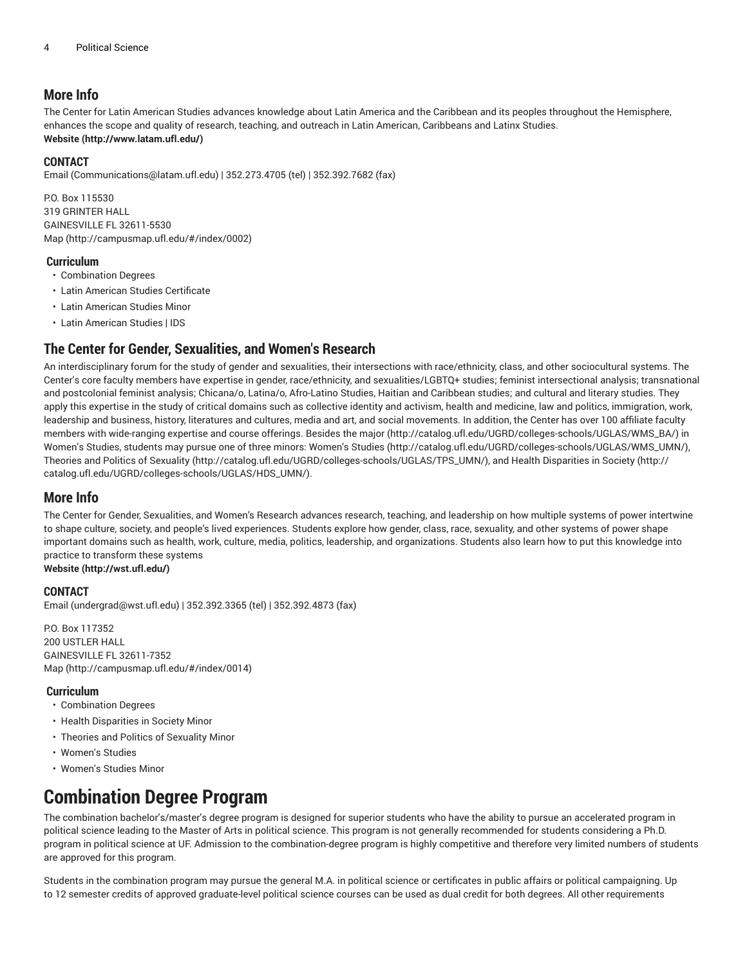### **More Info**

The Center for Latin American Studies advances knowledge about Latin America and the Caribbean and its peoples throughout the Hemisphere, enhances the scope and quality of research, teaching, and outreach in Latin American, Caribbeans and Latinx Studies. **[Website](http://www.latam.ufl.edu/) ([http://www.latam.ufl.edu/\)](http://www.latam.ufl.edu/)**

#### **CONTACT**

[Email](mailto:Communications@latam.ufl.edu) ([Communications@latam.ufl.edu\)](Communications@latam.ufl.edu) | 352.273.4705 (tel) | 352.392.7682 (fax)

P.O. Box 115530 319 GRINTER HALL GAINESVILLE FL 32611-5530 [Map](http://campusmap.ufl.edu/#/index/0002) ([http://campusmap.ufl.edu/#/index/0002\)](http://campusmap.ufl.edu/#/index/0002)

#### **Curriculum**

• Combination Degrees

- Latin American Studies Certificate
- Latin American Studies Minor
- Latin American Studies | IDS

### **The Center for Gender, Sexualities, and Women's Research**

An interdisciplinary forum for the study of gender and sexualities, their intersections with race/ethnicity, class, and other sociocultural systems. The Center's core faculty members have expertise in gender, race/ethnicity, and sexualities/LGBTQ+ studies; feminist intersectional analysis; transnational and postcolonial feminist analysis; Chicana/o, Latina/o, Afro-Latino Studies, Haitian and Caribbean studies; and cultural and literary studies. They apply this expertise in the study of critical domains such as collective identity and activism, health and medicine, law and politics, immigration, work, leadership and business, history, literatures and cultures, media and art, and social movements. In addition, the Center has over 100 affiliate faculty members with wide-ranging expertise and course offerings. Besides the [major](http://catalog.ufl.edu/UGRD/colleges-schools/UGLAS/WMS_BA/) [\(http://catalog.ufl.edu/UGRD/colleges-schools/UGLAS/WMS\\_BA/\)](http://catalog.ufl.edu/UGRD/colleges-schools/UGLAS/WMS_BA/) in Women's Studies, students may pursue one of three minors: [Women's](http://catalog.ufl.edu/UGRD/colleges-schools/UGLAS/WMS_UMN/) Studies ([http://catalog.ufl.edu/UGRD/colleges-schools/UGLAS/WMS\\_UMN/\)](http://catalog.ufl.edu/UGRD/colleges-schools/UGLAS/WMS_UMN/), Theories and Politics of [Sexuality \(http://catalog.ufl.edu/UGRD/colleges-schools/UGLAS/TPS\\_UMN/\)](http://catalog.ufl.edu/UGRD/colleges-schools/UGLAS/TPS_UMN/), and [Health Disparities in Society \(http://](http://catalog.ufl.edu/UGRD/colleges-schools/UGLAS/HDS_UMN/) [catalog.ufl.edu/UGRD/colleges-schools/UGLAS/HDS\\_UMN/](http://catalog.ufl.edu/UGRD/colleges-schools/UGLAS/HDS_UMN/)).

### **More Info**

The Center for Gender, Sexualities, and Women's Research advances research, teaching, and leadership on how multiple systems of power intertwine to shape culture, society, and people's lived experiences. Students explore how gender, class, race, sexuality, and other systems of power shape important domains such as health, work, culture, media, politics, leadership, and organizations. Students also learn how to put this knowledge into practice to transform these systems

**[Website](http://wst.ufl.edu/) (<http://wst.ufl.edu/>)**

#### **CONTACT**

[Email](mailto:undergrad@wst.ufl.edu) (<undergrad@wst.ufl.edu>) | 352.392.3365 (tel) | 352.392.4873 (fax)

P.O. Box 117352 200 USTLER HALL GAINESVILLE FL 32611-7352 [Map](http://campusmap.ufl.edu/#/index/0014) ([http://campusmap.ufl.edu/#/index/0014\)](http://campusmap.ufl.edu/#/index/0014)

#### **Curriculum**

- Combination Degrees
- Health Disparities in Society Minor
- Theories and Politics of Sexuality Minor
- Women's Studies
- Women's Studies Minor

# **Combination Degree Program**

The combination bachelor's/master's degree program is designed for superior students who have the ability to pursue an accelerated program in political science leading to the Master of Arts in political science. This program is not generally recommended for students considering a Ph.D. program in political science at UF. Admission to the combination-degree program is highly competitive and therefore very limited numbers of students are approved for this program.

Students in the combination program may pursue the general M.A. in political science or certificates in public affairs or political campaigning. Up to 12 semester credits of approved graduate-level political science courses can be used as dual credit for both degrees. All other requirements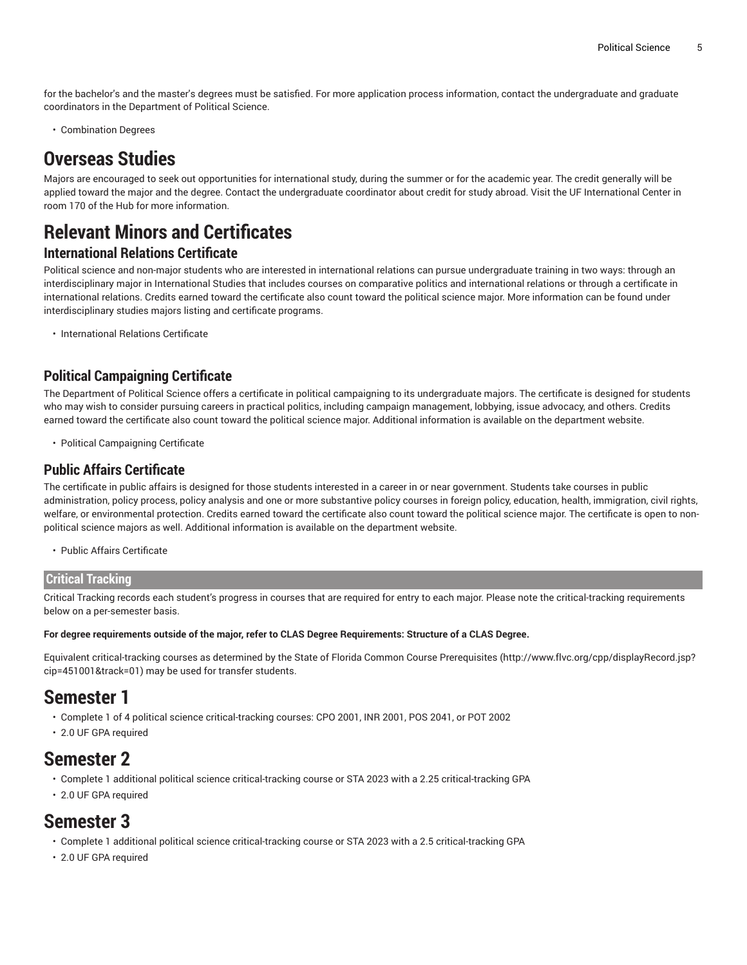for the bachelor's and the master's degrees must be satisfied. For more application process information, contact the undergraduate and graduate coordinators in the Department of Political Science.

• Combination Degrees

# **Overseas Studies**

Majors are encouraged to seek out opportunities for international study, during the summer or for the academic year. The credit generally will be applied toward the major and the degree. Contact the undergraduate coordinator about credit for study abroad. Visit the UF International Center in room 170 of the Hub for more information.

# **Relevant Minors and Certificates**

### **International Relations Certificate**

Political science and non-major students who are interested in international relations can pursue undergraduate training in two ways: through an interdisciplinary major in International Studies that includes courses on comparative politics and international relations or through a certificate in international relations. Credits earned toward the certificate also count toward the political science major. More information can be found under interdisciplinary studies majors listing and certificate programs.

• International Relations Certificate

### **Political Campaigning Certificate**

The Department of Political Science offers a certificate in political campaigning to its undergraduate majors. The certificate is designed for students who may wish to consider pursuing careers in practical politics, including campaign management, lobbying, issue advocacy, and others. Credits earned toward the certificate also count toward the political science major. Additional information is available on the department website.

• Political Campaigning Certificate

### **Public Affairs Certificate**

The certificate in public affairs is designed for those students interested in a career in or near government. Students take courses in public administration, policy process, policy analysis and one or more substantive policy courses in foreign policy, education, health, immigration, civil rights, welfare, or environmental protection. Credits earned toward the certificate also count toward the political science major. The certificate is open to nonpolitical science majors as well. Additional information is available on the department website.

• Public Affairs Certificate

#### **Critical Tracking**

Critical Tracking records each student's progress in courses that are required for entry to each major. Please note the critical-tracking requirements below on a per-semester basis.

#### For degree requirements outside of the major, refer to CLAS Degree Requirements: Structure of a CLAS Degree.

Equivalent critical-tracking courses as determined by the State of Florida Common Course [Prerequisites](http://www.flvc.org/cpp/displayRecord.jsp?cip=451001&track=01) ([http://www.flvc.org/cpp/displayRecord.jsp?](http://www.flvc.org/cpp/displayRecord.jsp?cip=451001&track=01) [cip=451001&track=01\)](http://www.flvc.org/cpp/displayRecord.jsp?cip=451001&track=01) may be used for transfer students.

# **Semester 1**

- Complete 1 of 4 political science critical-tracking courses: CPO 2001, INR 2001, POS 2041, or POT 2002
- 2.0 UF GPA required

# **Semester 2**

- Complete 1 additional political science critical-tracking course or STA 2023 with a 2.25 critical-tracking GPA
- 2.0 UF GPA required

### **Semester 3**

- Complete 1 additional political science critical-tracking course or STA 2023 with a 2.5 critical-tracking GPA
- 2.0 UF GPA required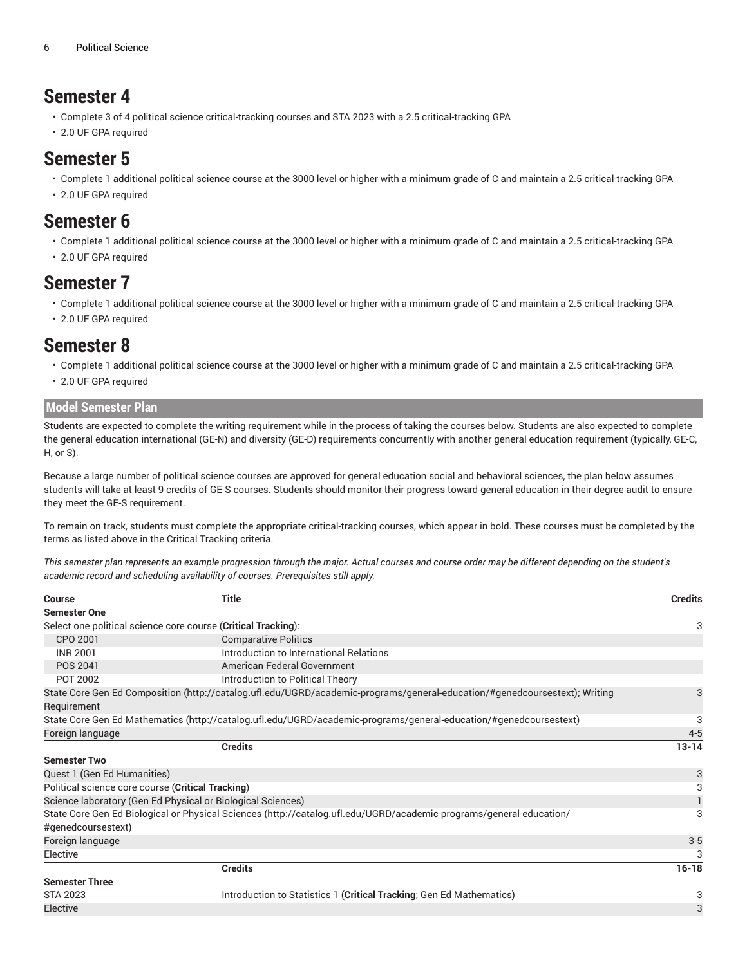# **Semester 4**

- Complete 3 of 4 political science critical-tracking courses and STA 2023 with a 2.5 critical-tracking GPA
- 2.0 UF GPA required

### **Semester 5**

- Complete 1 additional political science course at the 3000 level or higher with a minimum grade of C and maintain a 2.5 critical-tracking GPA
- 2.0 UF GPA required

# **Semester 6**

- Complete 1 additional political science course at the 3000 level or higher with a minimum grade of C and maintain a 2.5 critical-tracking GPA
- 2.0 UF GPA required

### **Semester 7**

- Complete 1 additional political science course at the 3000 level or higher with a minimum grade of C and maintain a 2.5 critical-tracking GPA
- 2.0 UF GPA required

# **Semester 8**

- Complete 1 additional political science course at the 3000 level or higher with a minimum grade of C and maintain a 2.5 critical-tracking GPA
- 2.0 UF GPA required

#### **Model Semester Plan**

Students are expected to complete the writing requirement while in the process of taking the courses below. Students are also expected to complete the general education international (GE-N) and diversity (GE-D) requirements concurrently with another general education requirement (typically, GE-C, H, or S).

Because a large number of political science courses are approved for general education social and behavioral sciences, the plan below assumes students will take at least 9 credits of GE-S courses. Students should monitor their progress toward general education in their degree audit to ensure they meet the GE-S requirement.

To remain on track, students must complete the appropriate critical-tracking courses, which appear in bold. These courses must be completed by the terms as listed above in the Critical Tracking criteria.

This semester plan represents an example progression through the major. Actual courses and course order may be different depending on the student's *academic record and scheduling availability of courses. Prerequisites still apply.*

| <b>Course</b>                                                                                                              | <b>Title</b>                                                         | <b>Credits</b> |  |  |  |  |
|----------------------------------------------------------------------------------------------------------------------------|----------------------------------------------------------------------|----------------|--|--|--|--|
| <b>Semester One</b>                                                                                                        |                                                                      |                |  |  |  |  |
| Select one political science core course (Critical Tracking):                                                              |                                                                      |                |  |  |  |  |
| CPO 2001                                                                                                                   | <b>Comparative Politics</b>                                          |                |  |  |  |  |
| <b>INR 2001</b>                                                                                                            | Introduction to International Relations                              |                |  |  |  |  |
| POS 2041                                                                                                                   | American Federal Government                                          |                |  |  |  |  |
| POT 2002                                                                                                                   | Introduction to Political Theory                                     |                |  |  |  |  |
| State Core Gen Ed Composition (http://catalog.ufl.edu/UGRD/academic-programs/general-education/#genedcoursestext); Writing |                                                                      |                |  |  |  |  |
| Requirement                                                                                                                |                                                                      |                |  |  |  |  |
| State Core Gen Ed Mathematics (http://catalog.ufl.edu/UGRD/academic-programs/general-education/#genedcoursestext)          |                                                                      |                |  |  |  |  |
| Foreign language                                                                                                           |                                                                      | $4 - 5$        |  |  |  |  |
|                                                                                                                            | <b>Credits</b>                                                       | $13 - 14$      |  |  |  |  |
| <b>Semester Two</b>                                                                                                        |                                                                      |                |  |  |  |  |
| Quest 1 (Gen Ed Humanities)                                                                                                |                                                                      | 3              |  |  |  |  |
| Political science core course (Critical Tracking)                                                                          |                                                                      | 3              |  |  |  |  |
|                                                                                                                            | Science laboratory (Gen Ed Physical or Biological Sciences)          |                |  |  |  |  |
| State Core Gen Ed Biological or Physical Sciences (http://catalog.ufl.edu/UGRD/academic-programs/general-education/        |                                                                      |                |  |  |  |  |
| #genedcoursestext)                                                                                                         |                                                                      |                |  |  |  |  |
| Foreign language                                                                                                           |                                                                      | $3-5$          |  |  |  |  |
| Elective                                                                                                                   |                                                                      | 3              |  |  |  |  |
|                                                                                                                            | <b>Credits</b>                                                       | $16 - 18$      |  |  |  |  |
| <b>Semester Three</b>                                                                                                      |                                                                      |                |  |  |  |  |
| <b>STA 2023</b>                                                                                                            | Introduction to Statistics 1 (Critical Tracking; Gen Ed Mathematics) | 3              |  |  |  |  |
| Elective                                                                                                                   |                                                                      | 3              |  |  |  |  |
|                                                                                                                            |                                                                      |                |  |  |  |  |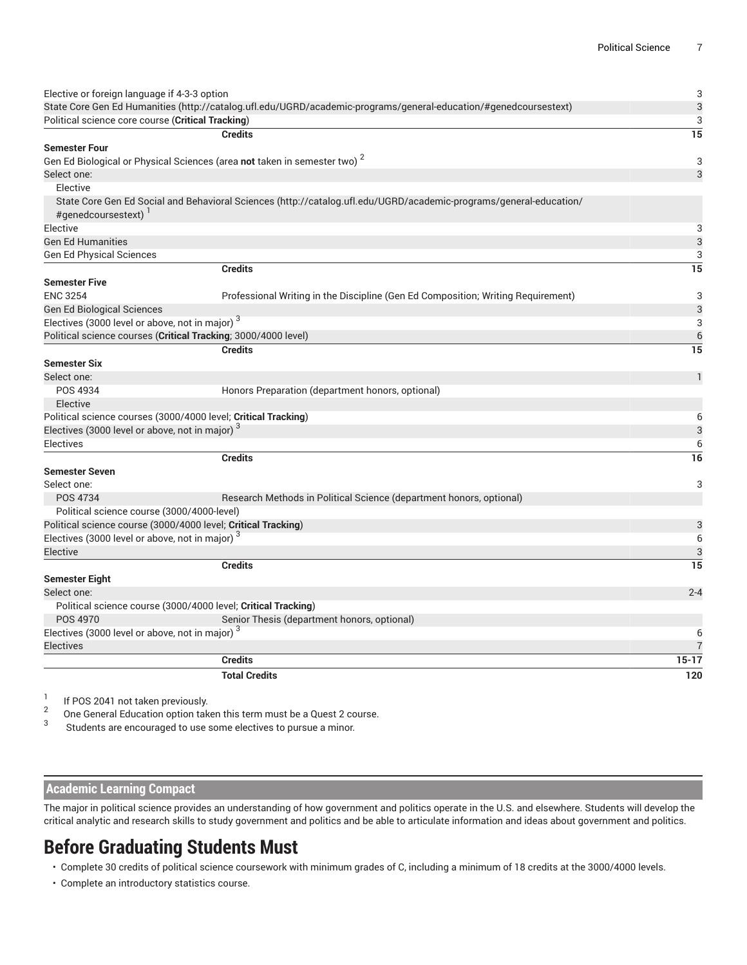| Elective or foreign language if 4-3-3 option                                                                     |                                                                                                                    | 3               |
|------------------------------------------------------------------------------------------------------------------|--------------------------------------------------------------------------------------------------------------------|-----------------|
| State Core Gen Ed Humanities (http://catalog.ufl.edu/UGRD/academic-programs/general-education/#genedcoursestext) |                                                                                                                    |                 |
| Political science core course (Critical Tracking)                                                                |                                                                                                                    | 3               |
|                                                                                                                  | <b>Credits</b>                                                                                                     | $\overline{15}$ |
| <b>Semester Four</b>                                                                                             |                                                                                                                    |                 |
|                                                                                                                  | Gen Ed Biological or Physical Sciences (area not taken in semester two) <sup>2</sup>                               | 3               |
| Select one:                                                                                                      |                                                                                                                    | 3               |
| Elective                                                                                                         |                                                                                                                    |                 |
| #genedcoursestext) <sup>1</sup>                                                                                  | State Core Gen Ed Social and Behavioral Sciences (http://catalog.ufl.edu/UGRD/academic-programs/general-education/ |                 |
| Elective                                                                                                         |                                                                                                                    | 3               |
| <b>Gen Ed Humanities</b>                                                                                         |                                                                                                                    | 3               |
| <b>Gen Ed Physical Sciences</b>                                                                                  |                                                                                                                    | 3               |
|                                                                                                                  | <b>Credits</b>                                                                                                     | 15              |
| <b>Semester Five</b>                                                                                             |                                                                                                                    |                 |
| <b>ENC 3254</b>                                                                                                  | Professional Writing in the Discipline (Gen Ed Composition; Writing Requirement)                                   | 3               |
| Gen Ed Biological Sciences                                                                                       |                                                                                                                    | 3               |
| Electives (3000 level or above, not in major) <sup>3</sup>                                                       |                                                                                                                    | 3               |
| Political science courses (Critical Tracking; 3000/4000 level)                                                   |                                                                                                                    | $6\phantom{1}6$ |
|                                                                                                                  | <b>Credits</b>                                                                                                     | 15              |
| <b>Semester Six</b>                                                                                              |                                                                                                                    |                 |
| Select one:                                                                                                      |                                                                                                                    | $\mathbf{1}$    |
| POS 4934                                                                                                         | Honors Preparation (department honors, optional)                                                                   |                 |
| Elective                                                                                                         |                                                                                                                    |                 |
| Political science courses (3000/4000 level; Critical Tracking)                                                   |                                                                                                                    | 6               |
| Electives (3000 level or above, not in major) 3                                                                  |                                                                                                                    | 3               |
| <b>Electives</b>                                                                                                 |                                                                                                                    | 6               |
|                                                                                                                  | <b>Credits</b>                                                                                                     | 16              |
| <b>Semester Seven</b>                                                                                            |                                                                                                                    |                 |
| Select one:                                                                                                      |                                                                                                                    | 3               |
| POS 4734                                                                                                         | Research Methods in Political Science (department honors, optional)                                                |                 |
| Political science course (3000/4000-level)                                                                       |                                                                                                                    |                 |
| Political science course (3000/4000 level; Critical Tracking)                                                    |                                                                                                                    | 3               |
| Electives (3000 level or above, not in major) <sup>3</sup>                                                       |                                                                                                                    | 6               |
| Elective                                                                                                         |                                                                                                                    | 3               |
|                                                                                                                  | <b>Credits</b>                                                                                                     | 15              |
| <b>Semester Eight</b>                                                                                            |                                                                                                                    |                 |
| Select one:                                                                                                      |                                                                                                                    | $2 - 4$         |
| Political science course (3000/4000 level; Critical Tracking)                                                    |                                                                                                                    |                 |
| POS 4970                                                                                                         | Senior Thesis (department honors, optional)                                                                        |                 |
| Electives (3000 level or above, not in major) <sup>3</sup>                                                       |                                                                                                                    | 6               |
| <b>Electives</b>                                                                                                 |                                                                                                                    | $\overline{7}$  |
|                                                                                                                  | <b>Credits</b>                                                                                                     | $15 - 17$       |
|                                                                                                                  | <b>Total Credits</b>                                                                                               | 120             |
|                                                                                                                  |                                                                                                                    |                 |

1 If POS 2041 not taken previously.

2 One General Education option taken this term must be a Quest 2 course.

3 Students are encouraged to use some electives to pursue a minor.

#### **Academic Learning Compact**

The major in political science provides an understanding of how government and politics operate in the U.S. and elsewhere. Students will develop the critical analytic and research skills to study government and politics and be able to articulate information and ideas about government and politics.

# **Before Graduating Students Must**

• Complete 30 credits of political science coursework with minimum grades of C, including a minimum of 18 credits at the 3000/4000 levels.

• Complete an introductory statistics course.